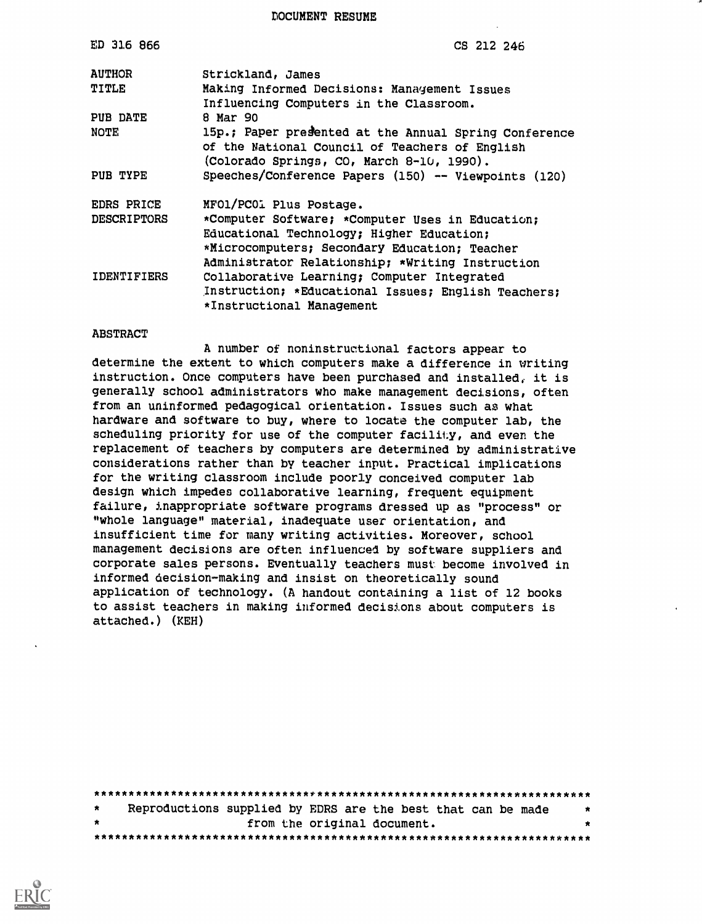DOCUMENT RESUME

| ED 316 866         | CS 212 246                                            |
|--------------------|-------------------------------------------------------|
| <b>AUTHOR</b>      | Strickland, James                                     |
| TITLE              | Making Informed Decisions: Management Issues          |
| PUB DATE           | Influencing Computers in the Classroom.<br>8 Mar 90   |
|                    |                                                       |
| <b>NOTE</b>        | 15p.; Paper presented at the Annual Spring Conference |
|                    | of the National Council of Teachers of English        |
|                    | (Colorado Springs, CO, March 8-10, 1990).             |
| PUB TYPE           | Speeches/Conference Papers (150) -- Viewpoints (120)  |
| <b>EDRS PRICE</b>  | MFO1/PC01 Plus Postage.                               |
| <b>DESCRIPTORS</b> | *Computer Software; *Computer Uses in Education;      |
|                    | Educational Technology; Higher Education;             |
|                    | *Microcomputers; Secondary Education; Teacher         |
|                    | Administrator Relationship; *Writing Instruction      |
| IDENTIFIERS        | Collaborative Learning; Computer Integrated           |
|                    | Instruction; *Educational Issues; English Teachers;   |
|                    |                                                       |
|                    | *Instructional Management                             |

#### **ABSTRACT**

A number of noninstructional factors appear to determine the extent to which computers make a difference in writing instruction. Once computers have been purchased and installed, it is generally school administrators who make management decisions, often from an uninformed pedagogical orientation. Issues such as what hardware and software to buy, where to locate the computer lab, the scheduling priority for use of the computer facility, and even the replacement of teachers by computers are determined by administrative considerations rather than by teacher input. Practical implications for the writing classroom include poorly conceived computer lab design which impedes collaborative learning, frequent equipment failure, inappropriate software programs dressed up as "process" or "whole language" material, inadequate user orientation, and insufficient time for many writing activities. Moreover, school management decisions are often influenced by software suppliers and corporate sales persons. Eventually teachers must become involved in informed decision-making and insist on theoretically sound application of technology. (A handout containing a list of 12 books to assist teachers in making informed decisions about computers is attached.) (KEH)

| $\star$ |  | Reproductions supplied by EDRS are the best that can be made | * |
|---------|--|--------------------------------------------------------------|---|
| $\star$ |  | from the original document.                                  | * |
|         |  |                                                              |   |

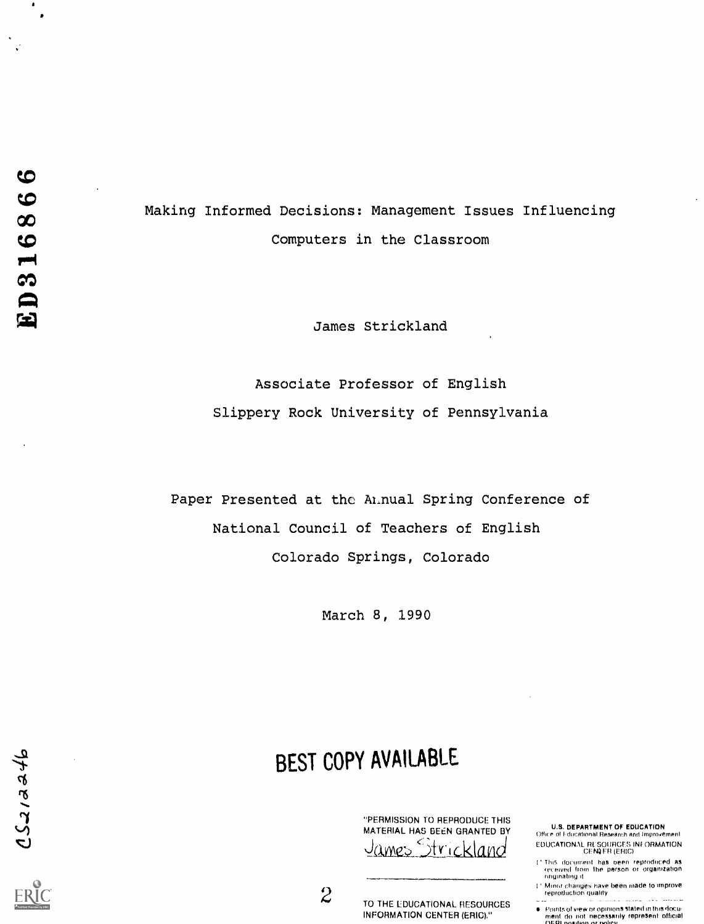$d46$ 

 $\bullet$  $\bullet$ 

 $\mathbf{v}^{\prime}$ 

Making Informed Decisions: Management Issues Influencing Computers in the Classroom

James Strickland

Associate Professor of English Slippery Rock University of Pennsylvania

Paper Presented at the Annual Spring Conference of National Council of Teachers of English Colorado Springs, Colorado

March 8, 1990

# BEST COPY AVAILABLE

"PERMISSION TO REPRODUCE THIS MATERIAL HAS BEEN GRANTED BY<br>James Strickland James

 $2$  TO THE EDUCATIONAL RESOURCES  $\mathbb{C}$ INFORMATION CENTER (ERIC)."

**U.S. DEPARTMENT OF EDUCATION** Office of Fducational Research and Improvement EDUCATIONAL RESOURCES INFORMATION<br>CENI ER (ERIC)

- ' This document has been reproduced as<br>, received from the person or organization originating
- 1' Minor changes have ten made, to Improve reproduction quality
- Points of view or opinions stated in this docu:<br>ment ido, not inecessarily represent official<br>MERL nosition or noticy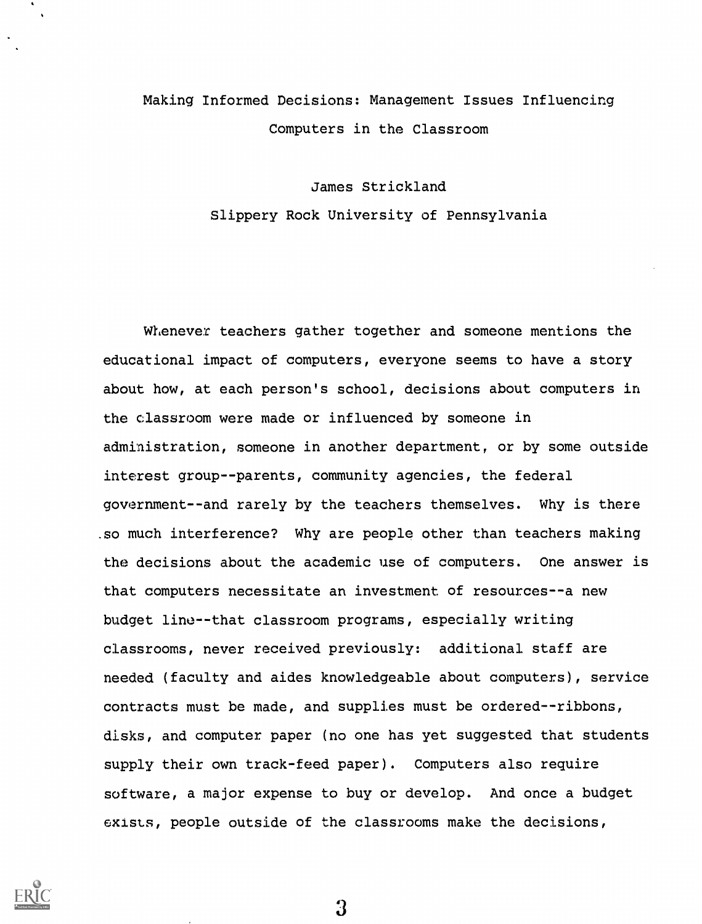# Making Informed Decisions: Management Issues Influencing Computers in the Classroom

## James Strickland Slippery Rock University of Pennsylvania

Whenever teachers gather together and someone mentions the educational impact of computers, everyone seems to have a story about how, at each person's school, decisions about computers in the classroom were made or influenced by someone in administration, someone in another department, or by some outside interest group--parents, community agencies, the federal government--and rarely by the teachers themselves. Why is there .so much interference? Why are people other than teachers making the decisions about the academic use of computers. One answer is that computers necessitate an investment of resources--a new budget line--that classroom programs, especially writing classrooms, never received previously: additional staff are needed (faculty and aides knowledgeable about computers), service contracts must be made, and supplies must be ordered--ribbons, disks, and computer paper (no one has yet suggested that students supply their own track-feed paper). Computers also require software, a major expense to buy or develop. And once a budget exists, people outside of the classrooms make the decisions,

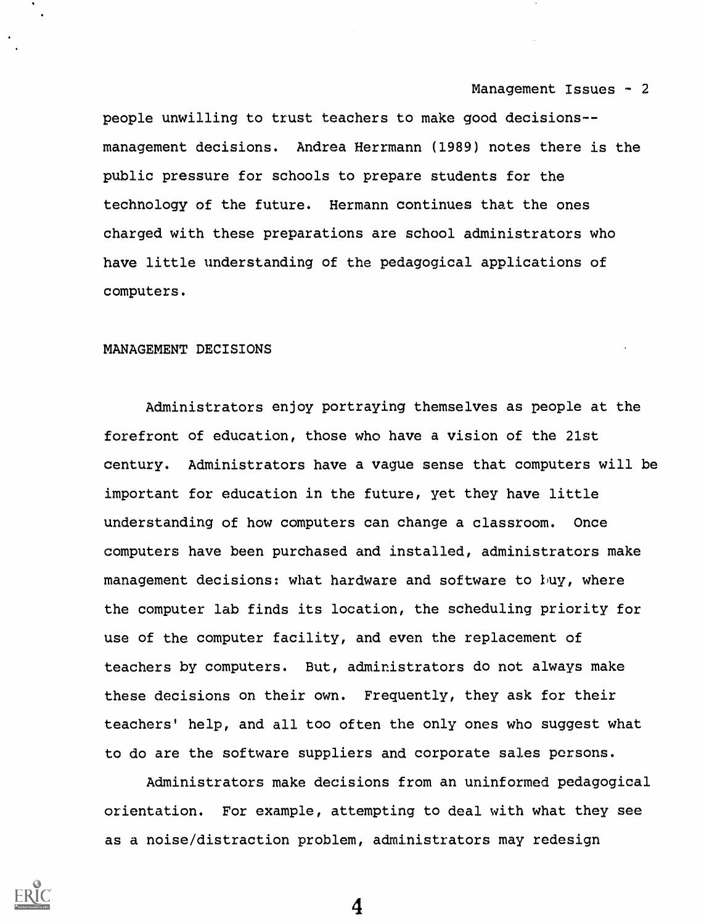people unwilling to trust teachers to make good decisions- management decisions. Andrea Herrmann (1989) notes there is the public pressure for schools to prepare students for the technology of the future. Hermann continues that the ones charged with these preparations are school administrators who have little understanding of the pedagogical applications of computers.

### MANAGEMENT DECISIONS

Administrators enjoy portraying themselves as people at the forefront of education, those who have a vision of the 21st century. Administrators have a vague sense that computers will be important for education in the future, yet they have little understanding of how computers can change a classroom. Once computers have been purchased and installed, administrators make management decisions: what hardware and software to buy, where the computer lab finds its location, the scheduling priority for use of the computer facility, and even the replacement of teachers by computers. But, administrators do not always make these decisions on their own. Frequently, they ask for their teachers' help, and all too often the only ones who suggest what to do are the software suppliers and corporate sales persons.

Administrators make decisions from an uninformed pedagogical orientation. For example, attempting to deal with what they see as a noise/distraction problem, administrators may redesign

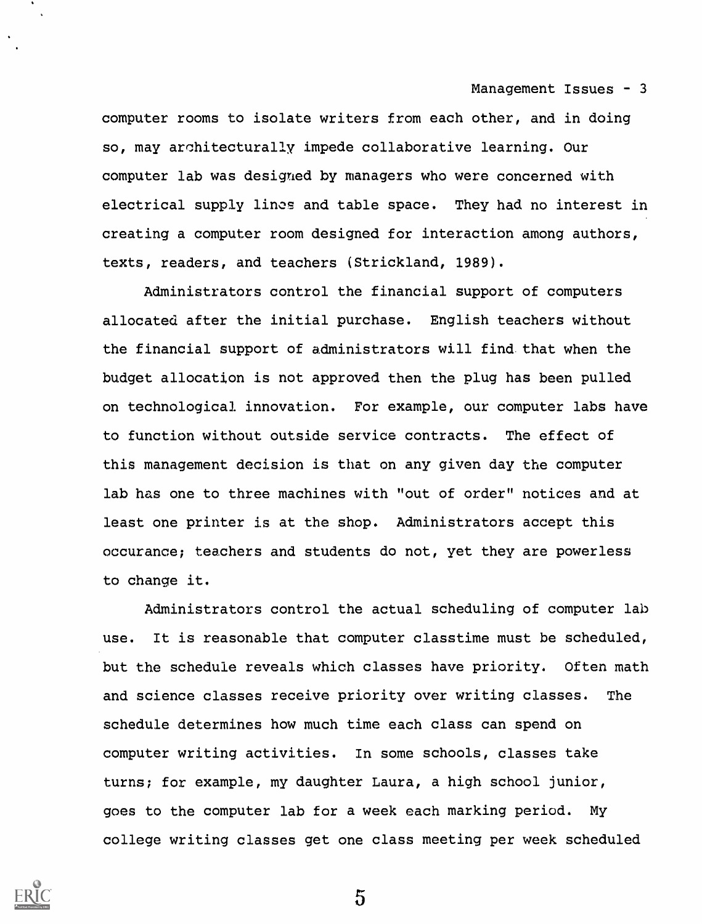computer rooms to isolate writers from each other, and in doing so, may architecturally impede collaborative learning. Our computer lab was designed by managers who were concerned with electrical supply linos and table space. They had no interest in creating a computer room designed for interaction among authors, texts, readers, and teachers (Strickland, 1989).

Administrators control the financial support of computers allocated after the initial purchase. English teachers without the financial support of administrators will find that when the budget allocation is not approved then the plug has been pulled on technological innovation. For example, our computer labs have to function without outside service contracts. The effect of this management decision is that on any given day the computer lab has one to three machines with "out of order" notices and at least one printer is at the shop. Administrators accept this occurance; teachers and students do not, yet they are powerless to change it.

Administrators control the actual scheduling of computer lab use. It is reasonable that computer classtime must be scheduled, but the schedule reveals which classes have priority. Often math and science classes receive priority over writing classes. The schedule determines how much time each class can spend on computer writing activities. In some schools, classes take turns; for example, my daughter Laura, a high school junior, goes to the computer lab for a week each marking period. My college writing classes get one class meeting per week scheduled

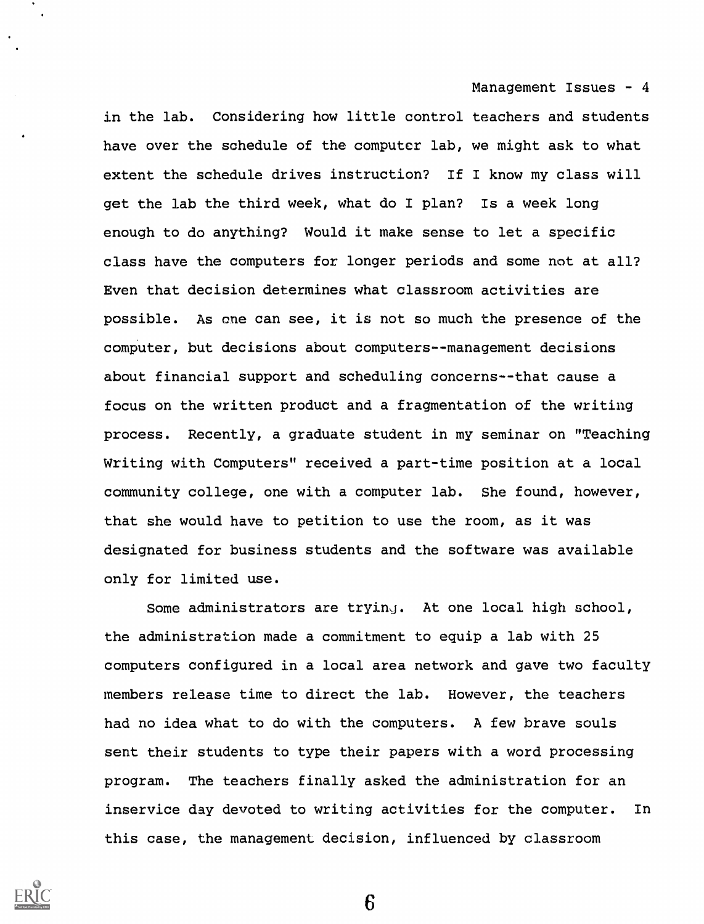in the lab. Considering how little control teachers and students have over the schedule of the computer lab, we might ask to what extent the schedule drives instruction? If I know my class will get the lab the third week, what do I plan? Is a week long enough to do anything? Would it make sense to let a specific class have the computers for longer periods and some not at all? Even that decision determines what classroom activities are possible. As one can see, it is not so much the presence of the computer, but decisions about computers--management decisions about financial support and scheduling concerns--that cause a focus on the written product and a fragmentation of the writing process. Recently, a graduate student in my seminar on "Teaching Writing with Computers" received a part-time position at a local community college, one with a computer lab. She found, however, that she would have to petition to use the room, as it was designated for business students and the software was available only for limited use.

Some administrators are trying. At one local high school, the administration made a commitment to equip a lab with 25 computers configured in a local area network and gave two faculty members release time to direct the lab. However, the teachers had no idea what to do with the computers. A few brave souls sent their students to type their papers with a word processing program. The teachers finally asked the administration for an inservice day devoted to writing activities for the computer. In this case, the management decision, influenced by classroom

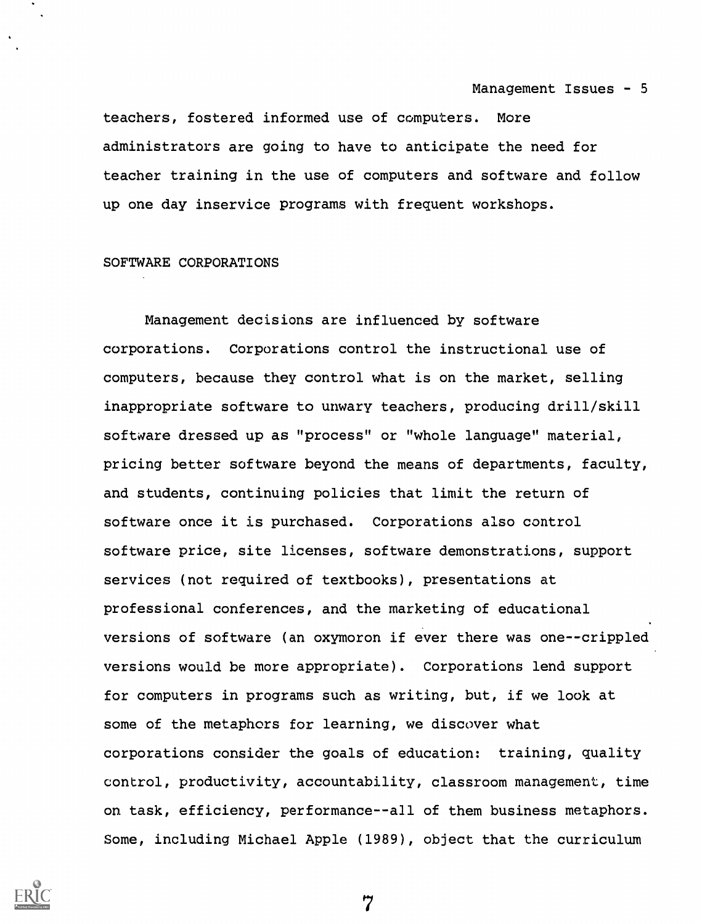teachers, fostered informed use of computers. More administrators are going to have to anticipate the need for teacher training in the use of computers and software and follow up one day inservice programs with frequent workshops.

### SOFTWARE CORPORATIONS

Management decisions are influenced by software corporations. Corporations control the instructional use of computers, because they control what is on the market, selling inappropriate software to unwary teachers, producing drill/skill software dressed up as "process" or "whole language" material, pricing better software beyond the means of departments, faculty, and students, continuing policies that limit the return of software once it is purchased. Corporations also control software price, site licenses, software demonstrations, support services (not required of textbooks), presentations at professional conferences, and the marketing of educational versions of software (an oxymoron if ever there was one--crippled versions would be more appropriate). Corporations lend support for computers in programs such as writing, but, if we look at some of the metaphors for learning, we discover what corporations consider the goals of education: training, quality control, productivity, accountability, classroom management, time on task, efficiency, performance--all of them business metaphors. Some, including Michael Apple (1989), object that the curriculum

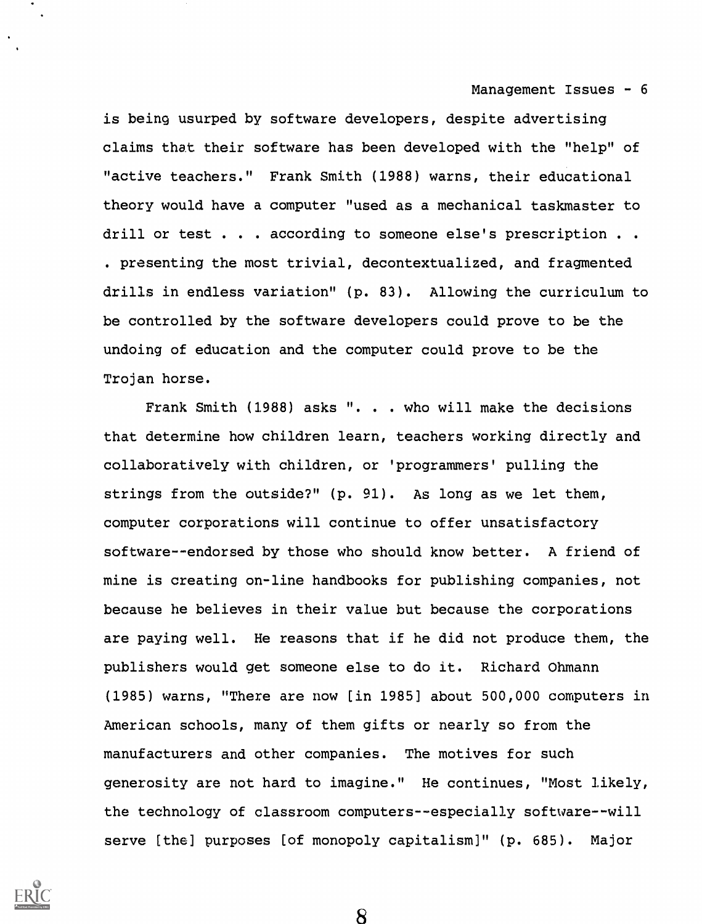is being usurped by software developers, despite advertising claims that their software has been developed with the "help" of "active teachers." Frank Smith (1988) warns, their educational theory would have a computer "used as a mechanical taskmaster to drill or test . . . according to someone else's prescription . . . presenting the most trivial, decontextualized, and fragmented drills in endless variation" (p. 83). Allowing the curriculum to be controlled by the software developers could prove to be the undoing of education and the computer could prove to be the Trojan horse.

Frank Smith (1988) asks ". . . who will make the decisions that determine how children learn, teachers working directly and collaboratively with children, or 'programmers' pulling the strings from the outside?" (p. 91). As long as we let them, computer corporations will continue to offer unsatisfactory software--endorsed by those who should know better. A friend of mine is creating on-line handbooks for publishing companies, not because he believes in their value but because the corporations are paying well. He reasons that if he did not produce them, the publishers would get someone else to do it. Richard Ohmann (1985) warns, "There are now [in 1985] about 500,000 computers in American schools, many of them gifts or nearly so from the manufacturers and other companies. The motives for such generosity are not hard to imagine." He continues, "Most likely, the technology of classroom computers--especially software--will serve [the] purposes [of monopoly capitalism)" (p. 685). Major

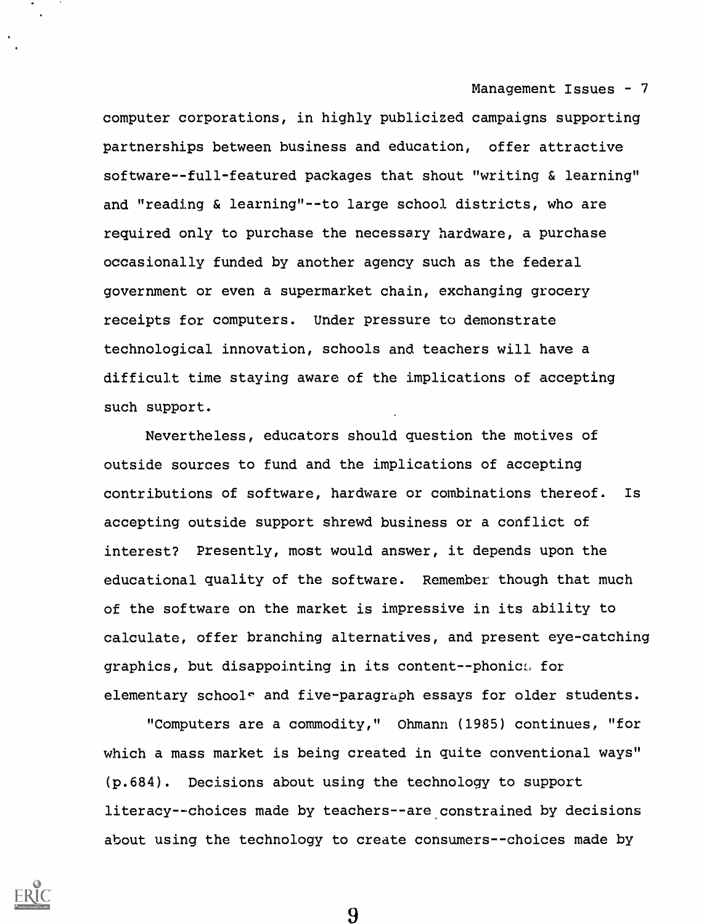computer corporations, in highly publicized campaigns supporting partnerships between business and education, offer attractive software--full-featured packages that shout "writing & learning" and "reading & learning"--to large school districts, who are required only to purchase the necessary hardware, a purchase occasionally funded by another agency such as the federal government or even a supermarket chain, exchanging grocery receipts for computers. Under pressure to demonstrate technological innovation, schools and teachers will have a difficult time staying aware of the implications of accepting such support.

Nevertheless, educators should question the motives of outside sources to fund and the implications of accepting contributions of software, hardware or combinations thereof. Is accepting outside support shrewd business or a conflict of interest? Presently, most would answer, it depends upon the educational quality of the software. Remember though that much of the software on the market is impressive in its ability to calculate, offer branching alternatives, and present eye-catching graphics, but disappointing in its content -- phonic:, for elementary school<sup> $\circ$ </sup> and five-paragraph essays for older students.

"Computers are a commodity," Ohmann (1985) continues, "for which a mass market is being created in quite conventional ways" (p.684). Decisions about using the technology to support literacy--choices made by teachers--are constrained by decisions about using the technology to create consumers--choices made by

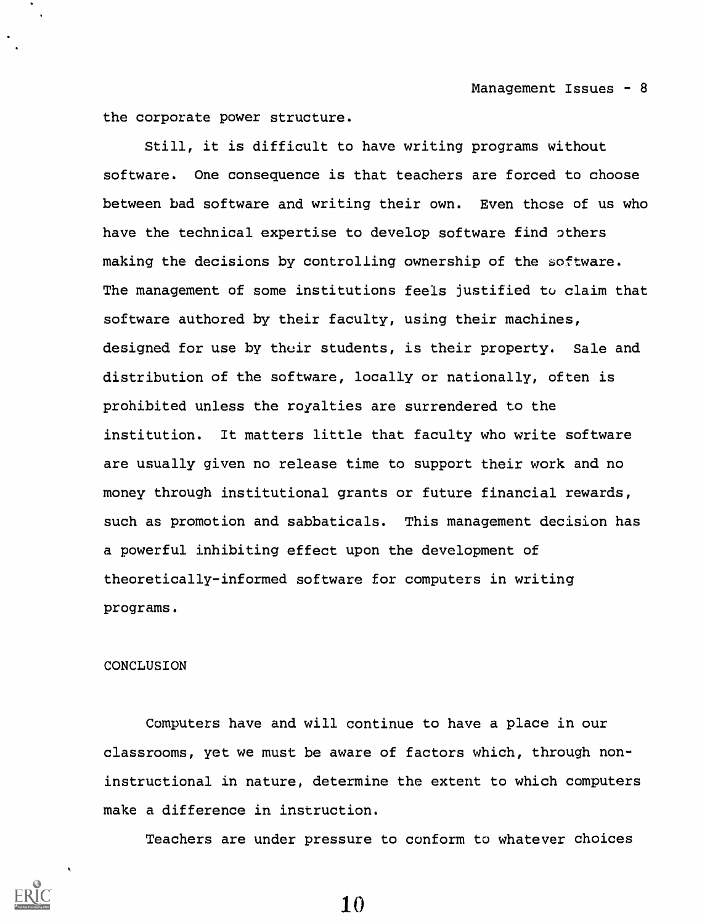the corporate power structure.

Still, it is difficult to have writing programs without software. One consequence is that teachers are forced to choose between bad software and writing their own. Even those of us who have the technical expertise to develop software find others making the decisions by controlling ownership of the software. The management of some institutions feels justified to claim that software authored by their faculty, using their machines, designed for use by their students, is their property. Sale and distribution of the software, locally or nationally, often is prohibited unless the royalties are surrendered to the institution. It matters little that faculty who write software are usually given no release time to support their work and no money through institutional grants or future financial rewards, such as promotion and sabbaticals. This management decision has a powerful inhibiting effect upon the development of theoretically-informed software for computers in writing programs.

#### CONCLUSION

Computers have and will continue to have a place in our classrooms, yet we must be aware of factors which, through noninstructional in nature, determine the extent to which computers make a difference in instruction.

Teachers are under pressure to conform to whatever choices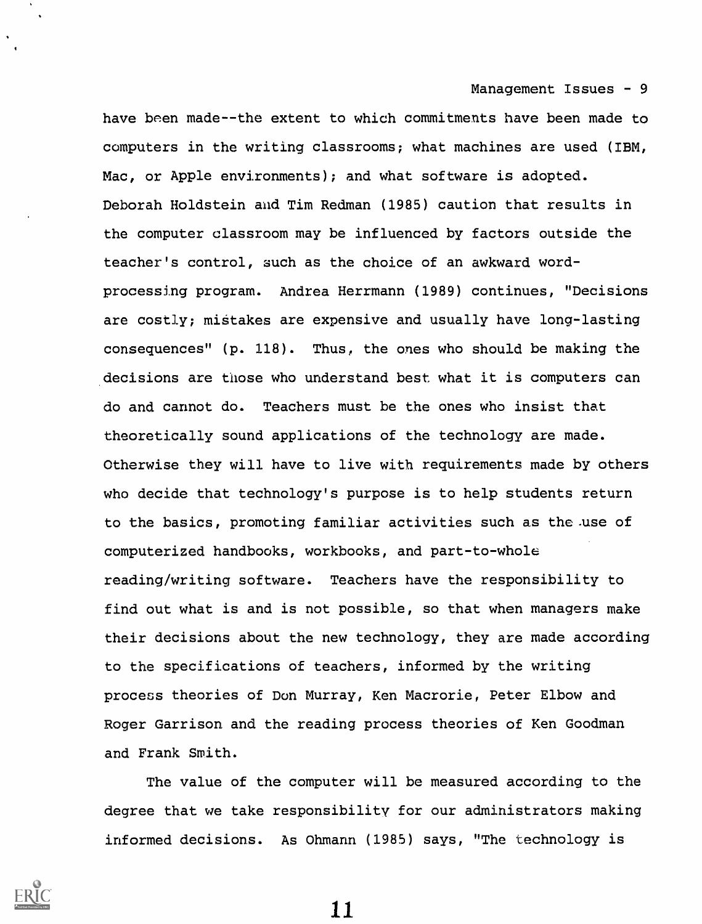have been made--the extent to which commitments have been made to computers in the writing classrooms; what machines are used (IBM, Mac, or Apple environments); and what software is adopted. Deborah Holdstein and Tim Redman (1985) caution that results in the computer classroom may be influenced by factors outside the teacher's control, such as the choice of an awkward wordprocessing program. Andrea Herrmann (1989) continues, "Decisions are costly; mistakes are expensive and usually have long-lasting consequences" (p. 118). Thus, the ones who should be making the decisions are those who understand best what it is computers can do and cannot do. Teachers must be the ones who insist that theoretically sound applications of the technology are made. Otherwise they will have to live with requirements made by others who decide that technology's purpose is to help students return to the basics, promoting familiar activities such as the .use of computerized handbooks, workbooks, and part-to-whole reading/writing software. Teachers have the responsibility to find out what is and is not possible, so that when managers make their decisions about the new technology, they are made according to the specifications of teachers, informed by the writing process theories of Don Murray, Ken Macrorie, Peter Elbow and Roger Garrison and the reading process theories of Ken Goodman and Frank Smith.

The value of the computer will be measured according to the degree that we take responsibility for our administrators making informed decisions. As Ohmann (1985) says, "The technology is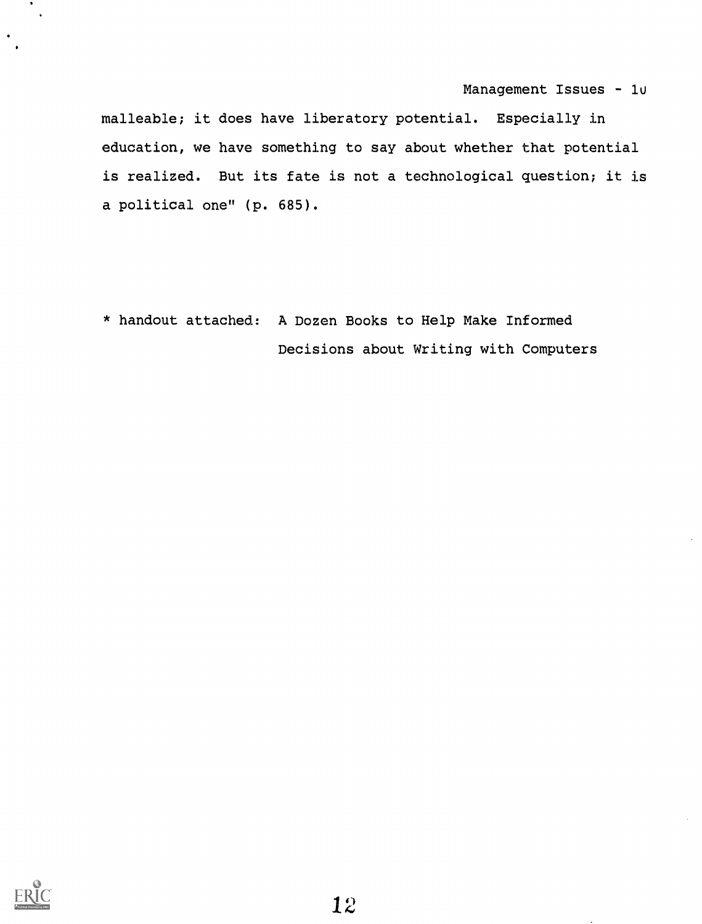malleable; it does have liberatory potential. Especially in education, we have something to say about whether that potential is realized. But its fate is not a technological question; it is a political one" (p. 685).

\* handout attached: A Dozen Books to Help Make Informed Decisions about Writing with Computers

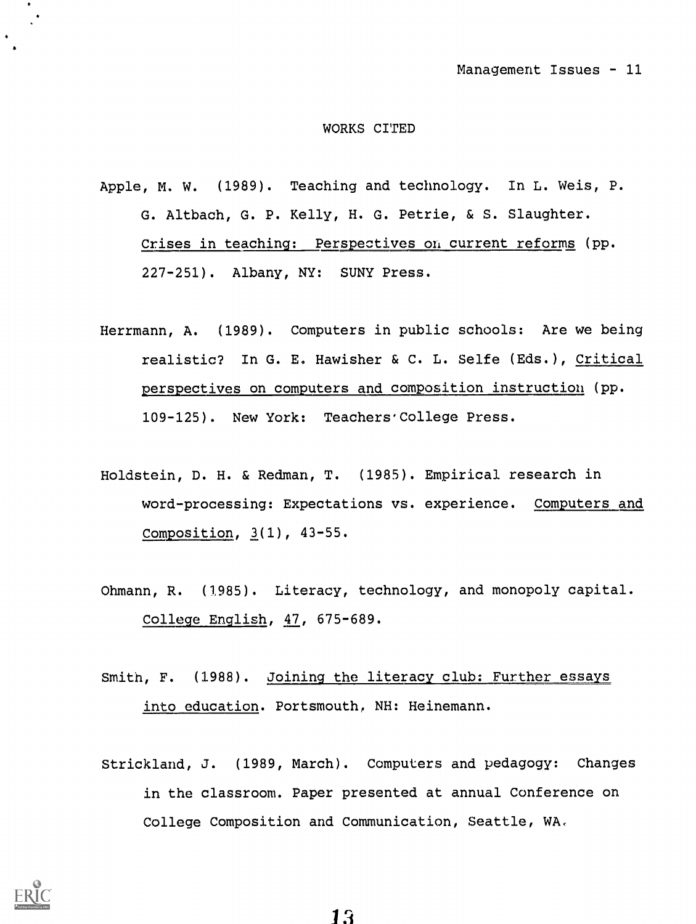#### WORKS CITED

- Apple, M. W. (1989). Teaching and technology. In L. Weis, P. G. Altbach, G. P. Kelly, H. G. Petrie, & S. Slaughter. Crises in teaching: Perspectives on current reforms (pp. 227-251). Albany, NY: SUNY Press.
- Herrmann, A. (1989). Computers in public schools: Are we being realistic? In G. E. Hawisher & C. L. Selfe (Eds.), Critical erspectives on computers and composition instruction (pp. 109-125). New York: Teachers'College Press.
- Holdstein, D. H. & Redman, T. (1985). Empirical research in word-processing: Expectations vs. experience. Computers and Composition, 3(1), 43-55.
- Ohmann, R. (1985). Literacy, technology, and monopoly capital. College English, 47, 675-689.
- Smith, F. (1988). Joining the literacy club: Further essays into education. Portsmouth, NH: Heinemann.
- Strickland, J. (1989, March). Computers and pedagogy: Changes in the classroom. Paper presented at annual Conference on College Composition and Communication, Seattle, WA.

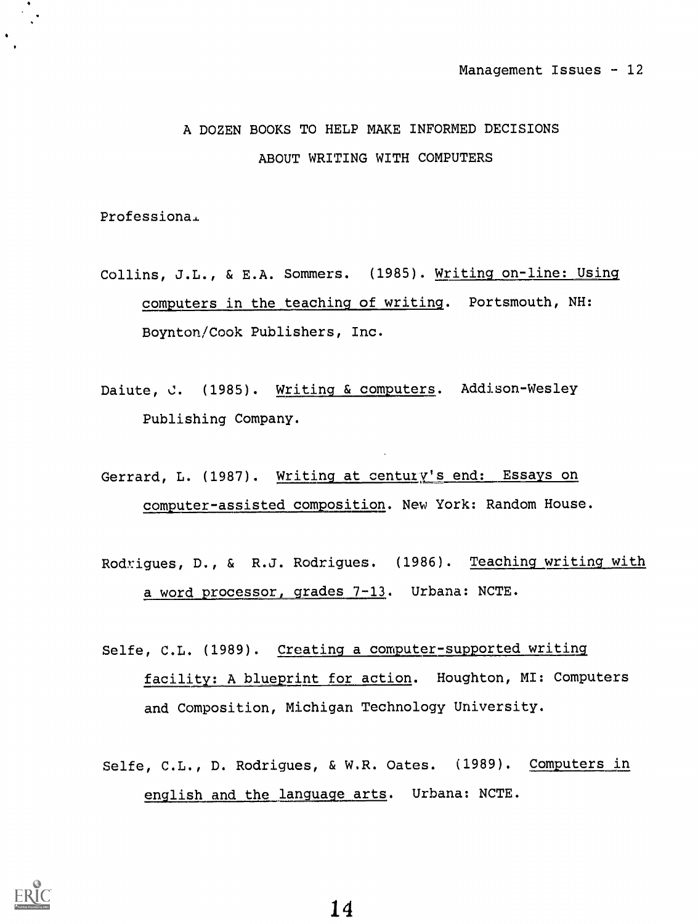# A DOZEN BOOKS TO HELP MAKE INFORMED DECISIONS ABOUT WRITING WITH COMPUTERS

Professiona.

- Collins, J.L., & E.A. Sommers. (1985). Writing on-line: Using computers in the teaching-of writing. Portsmouth, NH: Boynton/Cook Publishers, Inc.
- Daiute, C. (1985). Writing & computers. Addison-Wesley Publishing Company.
- Gerrard, L. (1987). Writing at century's end: Essays on computer- assisted composition. New York: Random House.
- Rodrigues, D., & R.J. Rodrigues. (1986). Teaching writing with a word processor, grades 7-13. Urbana: NCTE.
- Selfe, C.L. (1989). Creating a computer-supported writing facility: A blueprint for action. Houghton, MI: Computers and Composition, Michigan Technology University.
- Selfe, C.L., D. Rodrigues, & W.R. Oates. (1989). Computers in english and the language arts. Urbana: NCTE.